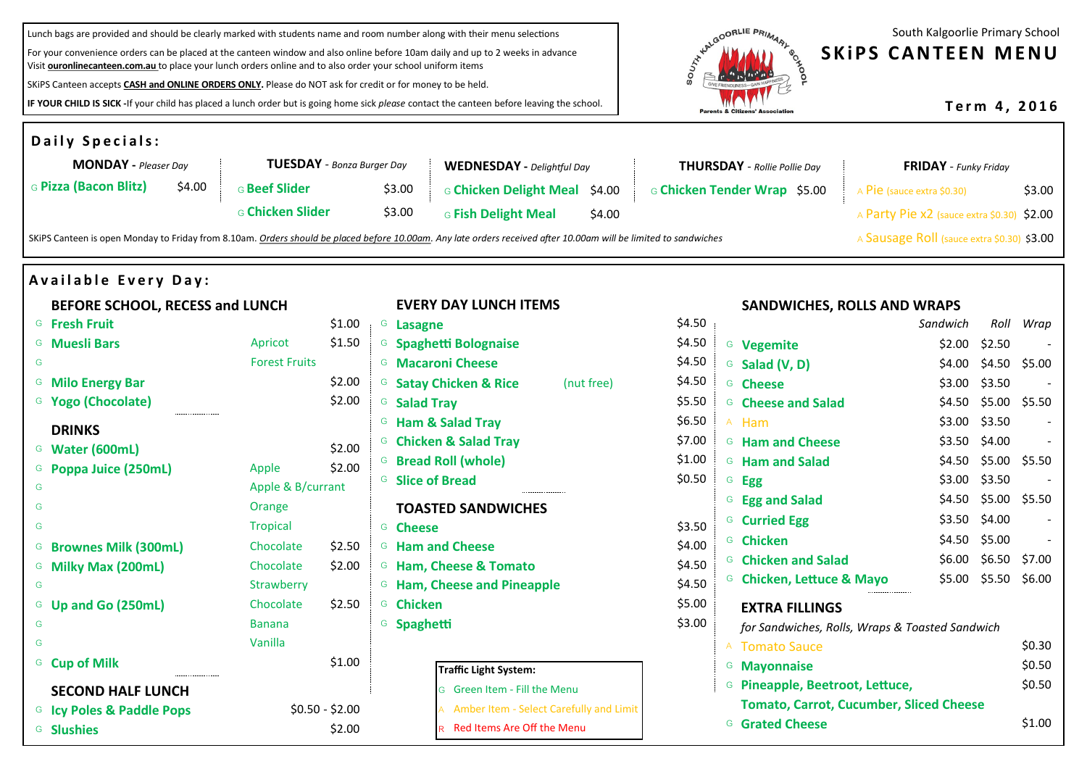Lunch bags are provided and should be clearly marked with students name and room number along with their menu selections

For your convenience orders can be placed at the canteen window and also online before 10am daily and up to 2 weeks in advance Visit **ouronlinecanteen.com.au** to place your lunch orders online and to also order your school uniform items

SKiPS Canteen accepts **CASH and ONLINE ORDERS ONLY.** Please do NOT ask for credit or for money to be held.

**IF YOUR CHILD IS SICK -**If your child has placed a lunch order but is going home sick *please* contact the canteen before leaving the school.



South Kalgoorlie Primary School

# **SKIPS CANTEEN MENU**

**T e r m 4 , 2 0 1 6**

| <b>Daily Specials:</b>                                           |                      |                                   |                                                                                                                                                                  |                                                                          |                                            |                                                 |                |                          |
|------------------------------------------------------------------|----------------------|-----------------------------------|------------------------------------------------------------------------------------------------------------------------------------------------------------------|--------------------------------------------------------------------------|--------------------------------------------|-------------------------------------------------|----------------|--------------------------|
| <b>MONDAY</b> - Pleaser Day<br><b>TUESDAY</b> - Bonza Burger Day |                      | <b>WEDNESDAY</b> - Delightful Day |                                                                                                                                                                  | <b>THURSDAY</b> - Rollie Pollie Day                                      |                                            | <b>FRIDAY</b> - Funky Friday                    |                |                          |
| G Pizza (Bacon Blitz)<br>\$4.00                                  | <b>G Beef Slider</b> | \$3.00                            | G Chicken Delight Meal \$4.00                                                                                                                                    |                                                                          | G Chicken Tender Wrap \$5.00               | A Pie (sauce extra \$0.30)                      |                | \$3.00                   |
|                                                                  | G Chicken Slider     | \$3.00                            | <b>G Fish Delight Meal</b><br>\$4.00                                                                                                                             |                                                                          |                                            | A Party Pie x2 (sauce extra \$0.30) \$2.00      |                |                          |
|                                                                  |                      |                                   | SKiPS Canteen is open Monday to Friday from 8.10am. Orders should be placed before 10.00am. Any late orders received after 10.00am will be limited to sandwiches |                                                                          |                                            | A Sausage Roll (sauce extra \$0.30) \$3.00      |                |                          |
| <b>Available Every Day:</b>                                      |                      |                                   |                                                                                                                                                                  |                                                                          |                                            |                                                 |                |                          |
| BEFORE SCHOOL, RECESS and LUNCH                                  |                      |                                   | <b>EVERY DAY LUNCH ITEMS</b>                                                                                                                                     |                                                                          | <b>SANDWICHES, ROLLS AND WRAPS</b>         |                                                 |                |                          |
| <sup>G</sup> Fresh Fruit                                         | \$1.00               | <sup>G</sup> Lasagne              |                                                                                                                                                                  | \$4.50                                                                   |                                            | Sandwich                                        |                | Roll Wrap                |
| <sup>G</sup> Muesli Bars                                         | \$1.50<br>Apricot    |                                   | <sup>G</sup> Spaghetti Bolognaise                                                                                                                                | \$4.50                                                                   | <sup>G</sup> Vegemite                      |                                                 | $$2.00$ \$2.50 |                          |
| G                                                                | <b>Forest Fruits</b> |                                   | <sup>G</sup> Macaroni Cheese                                                                                                                                     | \$4.50                                                                   | <sup>G</sup> Salad (V, D)                  |                                                 |                | \$4.00 \$4.50 \$5.00     |
| <sup>G</sup> Milo Energy Bar                                     | \$2.00               |                                   | <sup>G</sup> Satay Chicken & Rice<br>(nut free)                                                                                                                  | \$4.50                                                                   | <sup>G</sup> Cheese                        |                                                 | \$3.00 \$3.50  |                          |
| <sup>G</sup> Yogo (Chocolate)                                    | \$2.00               | <sup>G</sup> Salad Tray           |                                                                                                                                                                  | \$5.50                                                                   | <sup>G</sup> Cheese and Salad              |                                                 |                | \$4.50 \$5.00 \$5.50     |
| <b>DRINKS</b>                                                    |                      |                                   | <sup>G</sup> Ham & Salad Tray                                                                                                                                    | \$6.50                                                                   | A Ham                                      |                                                 | \$3.00 \$3.50  |                          |
| <sup>G</sup> Water (600mL)                                       | \$2.00               |                                   | <sup>G</sup> Chicken & Salad Tray                                                                                                                                | \$7.00                                                                   | <sup>G</sup> Ham and Cheese                |                                                 | \$3.50 \$4.00  |                          |
| <sup>G</sup> Poppa Juice (250mL)                                 | \$2.00<br>Apple      |                                   | <sup>G</sup> Bread Roll (whole)                                                                                                                                  | \$1.00                                                                   | <sup>G</sup> Ham and Salad                 |                                                 |                | \$4.50 \$5.00 \$5.50     |
| G                                                                | Apple & B/currant    |                                   | <sup>G</sup> Slice of Bread                                                                                                                                      | \$0.50                                                                   | <sup>G</sup> Egg                           |                                                 | \$3.00 \$3.50  |                          |
| G                                                                | Orange               |                                   | <b>TOASTED SANDWICHES</b>                                                                                                                                        |                                                                          | <sup>G</sup> Egg and Salad                 |                                                 |                | \$4.50 \$5.00 \$5.50     |
| G                                                                | Tropical             | <b>G</b> Cheese                   |                                                                                                                                                                  | \$3.50                                                                   | <sup>G</sup> Curried Egg                   |                                                 | \$3.50 \$4.00  |                          |
| <sup>G</sup> Brownes Milk (300mL)                                | Chocolate<br>\$2.50  |                                   | <b>G</b> Ham and Cheese                                                                                                                                          | \$4.00                                                                   | <sup>G</sup> Chicken                       |                                                 | \$4.50 \$5.00  | $\overline{\phantom{a}}$ |
| <sup>G</sup> Milky Max (200mL)                                   | Chocolate<br>\$2.00  |                                   | <sup>G</sup> Ham, Cheese & Tomato                                                                                                                                | \$4.50                                                                   | <sup>G</sup> Chicken and Salad             |                                                 |                | \$6.00 \$6.50 \$7.00     |
| G                                                                | Strawberry           |                                   | <b>G</b> Ham, Cheese and Pineapple                                                                                                                               | \$4.50                                                                   | <sup>G</sup> Chicken, Lettuce & Mayo       |                                                 |                | \$5.00 \$5.50 \$6.00     |
| <sup>G</sup> Up and Go (250mL)                                   | Chocolate<br>\$2.50  | <b>G</b> Chicken                  |                                                                                                                                                                  | \$5.00                                                                   | <b>EXTRA FILLINGS</b>                      |                                                 |                |                          |
| G                                                                | <b>Banana</b>        | <sup>G</sup> Spaghetti            |                                                                                                                                                                  | \$3.00                                                                   |                                            | for Sandwiches, Rolls, Wraps & Toasted Sandwich |                |                          |
| G                                                                | Vanilla              |                                   |                                                                                                                                                                  |                                                                          | A Tomato Sauce                             |                                                 |                | \$0.30                   |
| <sup>G</sup> Cup of Milk                                         | \$1.00               |                                   |                                                                                                                                                                  |                                                                          | <sup>G</sup> Mayonnaise                    |                                                 |                | \$0.50                   |
|                                                                  |                      |                                   | <b>Traffic Light System:</b>                                                                                                                                     |                                                                          | <sup>G</sup> Pineapple, Beetroot, Lettuce, |                                                 |                | \$0.50                   |
| <b>SECOND HALF LUNCH</b>                                         |                      |                                   | G Green Item - Fill the Menu                                                                                                                                     |                                                                          |                                            |                                                 |                |                          |
| <sup>G</sup> Icy Poles & Paddle Pops                             | $$0.50 - $2.00$      |                                   | A Amber Item - Select Carefully and Limit                                                                                                                        | <b>Tomato, Carrot, Cucumber, Sliced Cheese</b><br><b>G</b> Grated Cheese |                                            | \$1.00                                          |                |                          |
| <b>G</b> Slushies                                                | \$2.00               |                                   | R Red Items Are Off the Menu                                                                                                                                     |                                                                          |                                            |                                                 |                |                          |